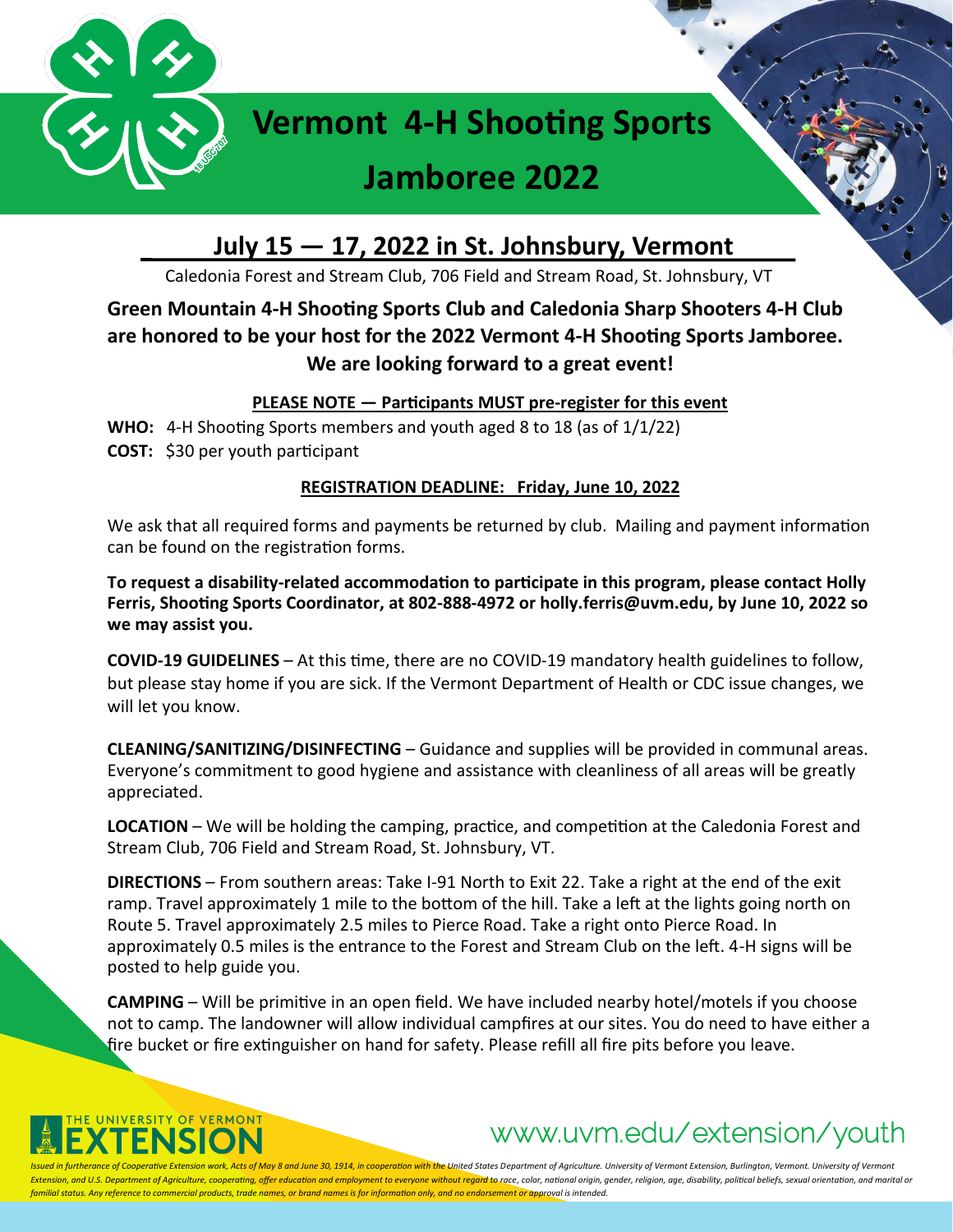

## **July 15 — 17, 2022 in St. Johnsbury, Vermont**

Caledonia Forest and Stream Club, 706 Field and Stream Road, St. Johnsbury, VT

## **Green Mountain 4-H Shooting Sports Club and Caledonia Sharp Shooters 4-H Club are honored to be your host for the 2022 Vermont 4-H Shooting Sports Jamboree. We are looking forward to a great event!**

**PLEASE NOTE — Participants MUST pre-register for this event**

**WHO:** 4-H Shooting Sports members and youth aged 8 to 18 (as of 1/1/22) **COST:** \$30 per youth participant

### **REGISTRATION DEADLINE: Friday, June 10, 2022**

We ask that all required forms and payments be returned by club. Mailing and payment information can be found on the registration forms.

**To request a disability-related accommodation to participate in this program, please contact Holly Ferris, Shooting Sports Coordinator, at 802-888-4972 or holly.ferris@uvm.edu, by June 10, 2022 so we may assist you.**

**COVID-19 GUIDELINES** – At this time, there are no COVID-19 mandatory health guidelines to follow, but please stay home if you are sick. If the Vermont Department of Health or CDC issue changes, we will let you know.

**CLEANING/SANITIZING/DISINFECTING** – Guidance and supplies will be provided in communal areas. Everyone's commitment to good hygiene and assistance with cleanliness of all areas will be greatly appreciated.

**LOCATION** – We will be holding the camping, practice, and competition at the Caledonia Forest and Stream Club, 706 Field and Stream Road, St. Johnsbury, VT.

**DIRECTIONS** – From southern areas: Take I-91 North to Exit 22. Take a right at the end of the exit ramp. Travel approximately 1 mile to the bottom of the hill. Take a left at the lights going north on Route 5. Travel approximately 2.5 miles to Pierce Road. Take a right onto Pierce Road. In approximately 0.5 miles is the entrance to the Forest and Stream Club on the left. 4-H signs will be posted to help guide you.

**CAMPING** – Will be primitive in an open field. We have included nearby hotel/motels if you choose not to camp. The landowner will allow individual campfires at our sites. You do need to have either a fire bucket or fire extinguisher on hand for safety. Please refill all fire pits before you leave.



# www.uvm.edu/extension/youth

herance of Cooperative Extension work, Acts of May 8 and June 30, 1914, in cooperation with the United States Department of Agriculture. University of Vermont Extension, Burlington, Vermont. University of Vermont Extension, and U.S. Department of Agriculture, cooperating, offer education and employment to everyone without regard to race, color, national origin, gender, religion, age, disability, political beliefs, sexual orientatio *familial status. Any reference to commercial products, trade names, or brand names is for information only, and no endorsement or approval is intended.*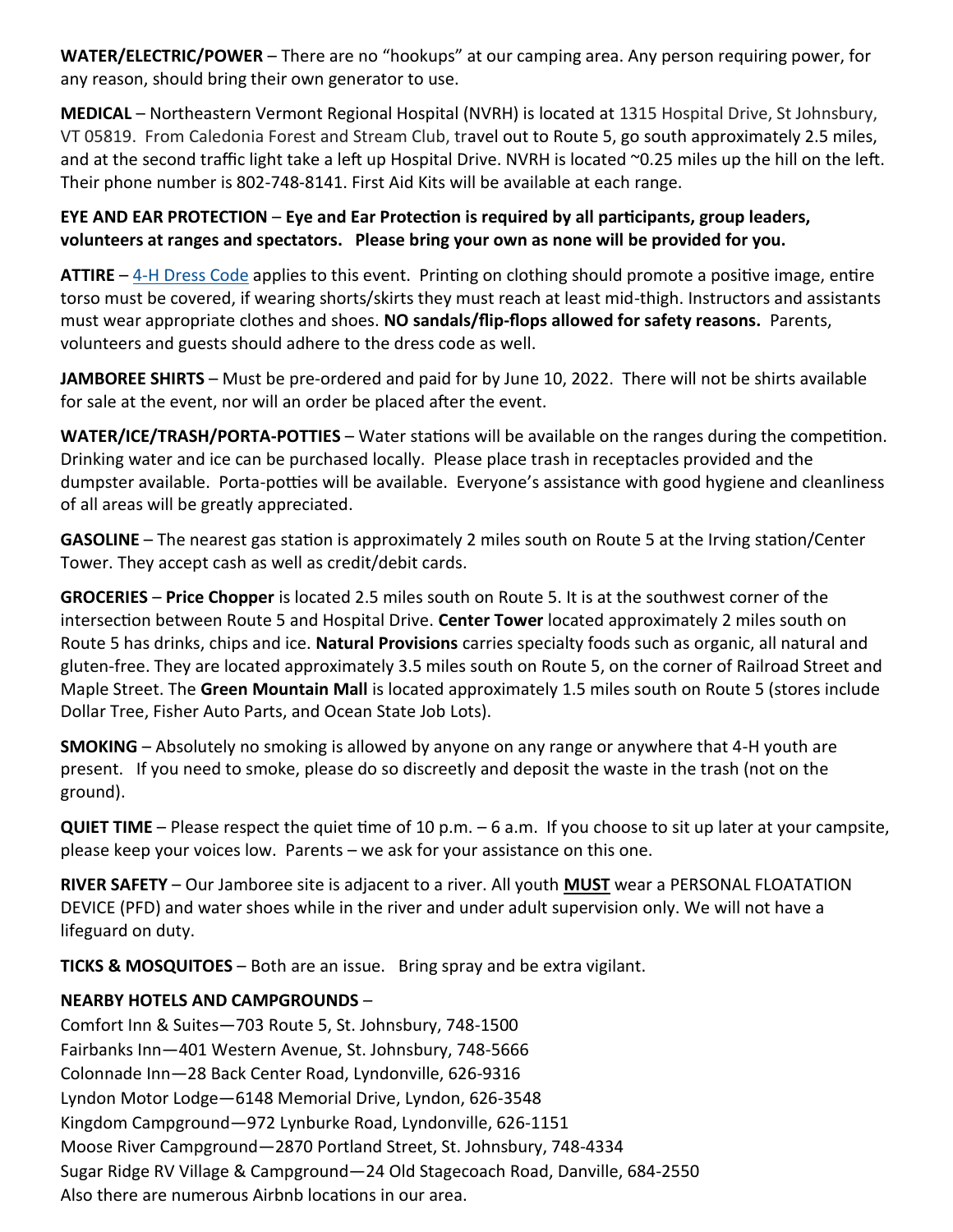**WATER/ELECTRIC/POWER** – There are no "hookups" at our camping area. Any person requiring power, for any reason, should bring their own generator to use.

**MEDICAL** – Northeastern Vermont Regional Hospital (NVRH) is located at 1315 Hospital Drive, St Johnsbury, VT 05819. From Caledonia Forest and Stream Club, travel out to Route 5, go south approximately 2.5 miles, and at the second traffic light take a left up Hospital Drive. NVRH is located  $\infty$ 0.25 miles up the hill on the left. Their phone number is 802-748-8141. First Aid Kits will be available at each range.

**EYE AND EAR PROTECTION** – **Eye and Ear Protection is required by all participants, group leaders, volunteers at ranges and spectators. Please bring your own as none will be provided for you.**

**ATTIRE** – 4-[H Dress Code](https://www.uvm.edu/sites/default/files/4-H-and-Youth/stateday/eval-dresscode-program-expectations.pdf) applies to this event. Printing on clothing should promote a positive image, entire torso must be covered, if wearing shorts/skirts they must reach at least mid-thigh. Instructors and assistants must wear appropriate clothes and shoes. **NO sandals/flip-flops allowed for safety reasons.** Parents, volunteers and guests should adhere to the dress code as well.

**JAMBOREE SHIRTS** – Must be pre-ordered and paid for by June 10, 2022. There will not be shirts available for sale at the event, nor will an order be placed after the event.

**WATER/ICE/TRASH/PORTA-POTTIES** – Water stations will be available on the ranges during the competition. Drinking water and ice can be purchased locally. Please place trash in receptacles provided and the dumpster available. Porta-potties will be available. Everyone's assistance with good hygiene and cleanliness of all areas will be greatly appreciated.

**GASOLINE** – The nearest gas station is approximately 2 miles south on Route 5 at the Irving station/Center Tower. They accept cash as well as credit/debit cards.

**GROCERIES** – **Price Chopper** is located 2.5 miles south on Route 5. It is at the southwest corner of the intersection between Route 5 and Hospital Drive. **Center Tower** located approximately 2 miles south on Route 5 has drinks, chips and ice. **Natural Provisions** carries specialty foods such as organic, all natural and gluten-free. They are located approximately 3.5 miles south on Route 5, on the corner of Railroad Street and Maple Street. The **Green Mountain Mall** is located approximately 1.5 miles south on Route 5 (stores include Dollar Tree, Fisher Auto Parts, and Ocean State Job Lots).

**SMOKING** – Absolutely no smoking is allowed by anyone on any range or anywhere that 4-H youth are present. If you need to smoke, please do so discreetly and deposit the waste in the trash (not on the ground).

**QUIET TIME** – Please respect the quiet time of 10 p.m. – 6 a.m. If you choose to sit up later at your campsite, please keep your voices low. Parents – we ask for your assistance on this one.

**RIVER SAFETY** – Our Jamboree site is adjacent to a river. All youth **MUST** wear a PERSONAL FLOATATION DEVICE (PFD) and water shoes while in the river and under adult supervision only. We will not have a lifeguard on duty.

**TICKS & MOSQUITOES** – Both are an issue. Bring spray and be extra vigilant.

### **NEARBY HOTELS AND CAMPGROUNDS** –

Comfort Inn & Suites—703 Route 5, St. Johnsbury, 748-1500 Fairbanks Inn—401 Western Avenue, St. Johnsbury, 748-5666 Colonnade Inn—28 Back Center Road, Lyndonville, 626-9316 Lyndon Motor Lodge—6148 Memorial Drive, Lyndon, 626-3548 Kingdom Campground—972 Lynburke Road, Lyndonville, 626-1151 Moose River Campground—2870 Portland Street, St. Johnsbury, 748-4334 Sugar Ridge RV Village & Campground—24 Old Stagecoach Road, Danville, 684-2550 Also there are numerous Airbnb locations in our area.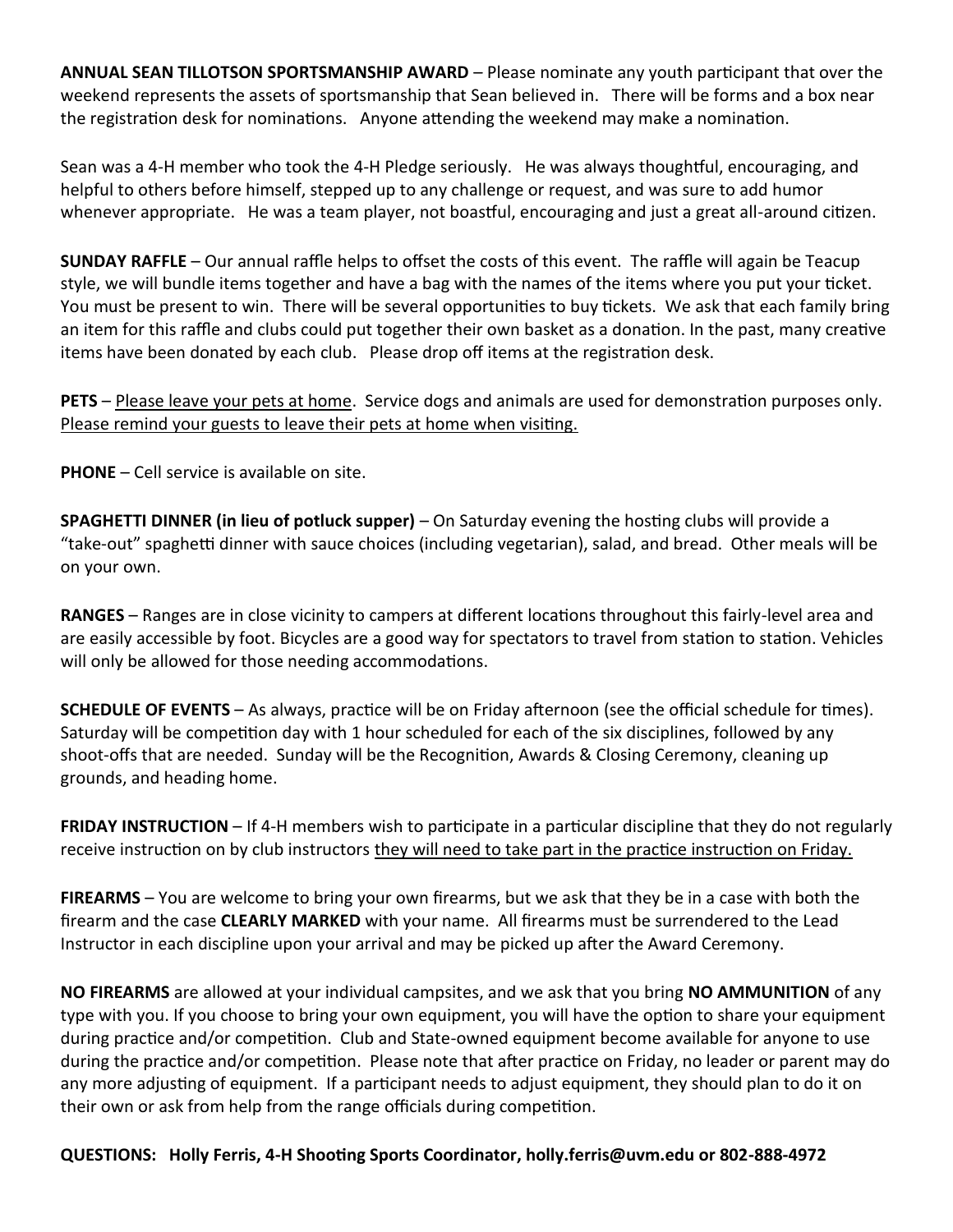**ANNUAL SEAN TILLOTSON SPORTSMANSHIP AWARD** – Please nominate any youth participant that over the weekend represents the assets of sportsmanship that Sean believed in. There will be forms and a box near the registration desk for nominations. Anyone attending the weekend may make a nomination.

Sean was a 4-H member who took the 4-H Pledge seriously. He was always thoughtful, encouraging, and helpful to others before himself, stepped up to any challenge or request, and was sure to add humor whenever appropriate. He was a team player, not boastful, encouraging and just a great all-around citizen.

**SUNDAY RAFFLE** – Our annual raffle helps to offset the costs of this event. The raffle will again be Teacup style, we will bundle items together and have a bag with the names of the items where you put your ticket. You must be present to win. There will be several opportunities to buy tickets. We ask that each family bring an item for this raffle and clubs could put together their own basket as a donation. In the past, many creative items have been donated by each club. Please drop off items at the registration desk.

**PETS** – Please leave your pets at home. Service dogs and animals are used for demonstration purposes only. Please remind your guests to leave their pets at home when visiting.

**PHONE** – Cell service is available on site.

**SPAGHETTI DINNER (in lieu of potluck supper)** – On Saturday evening the hosting clubs will provide a "take-out" spaghetti dinner with sauce choices (including vegetarian), salad, and bread. Other meals will be on your own.

**RANGES** – Ranges are in close vicinity to campers at different locations throughout this fairly-level area and are easily accessible by foot. Bicycles are a good way for spectators to travel from station to station. Vehicles will only be allowed for those needing accommodations.

**SCHEDULE OF EVENTS** – As always, practice will be on Friday afternoon (see the official schedule for times). Saturday will be competition day with 1 hour scheduled for each of the six disciplines, followed by any shoot-offs that are needed. Sunday will be the Recognition, Awards & Closing Ceremony, cleaning up grounds, and heading home.

**FRIDAY INSTRUCTION** – If 4-H members wish to participate in a particular discipline that they do not regularly receive instruction on by club instructors they will need to take part in the practice instruction on Friday.

**FIREARMS** – You are welcome to bring your own firearms, but we ask that they be in a case with both the firearm and the case **CLEARLY MARKED** with your name. All firearms must be surrendered to the Lead Instructor in each discipline upon your arrival and may be picked up after the Award Ceremony.

**NO FIREARMS** are allowed at your individual campsites, and we ask that you bring **NO AMMUNITION** of any type with you. If you choose to bring your own equipment, you will have the option to share your equipment during practice and/or competition. Club and State-owned equipment become available for anyone to use during the practice and/or competition. Please note that after practice on Friday, no leader or parent may do any more adjusting of equipment. If a participant needs to adjust equipment, they should plan to do it on their own or ask from help from the range officials during competition.

**QUESTIONS: Holly Ferris, 4-H Shooting Sports Coordinator, holly.ferris@uvm.edu or 802-888-4972**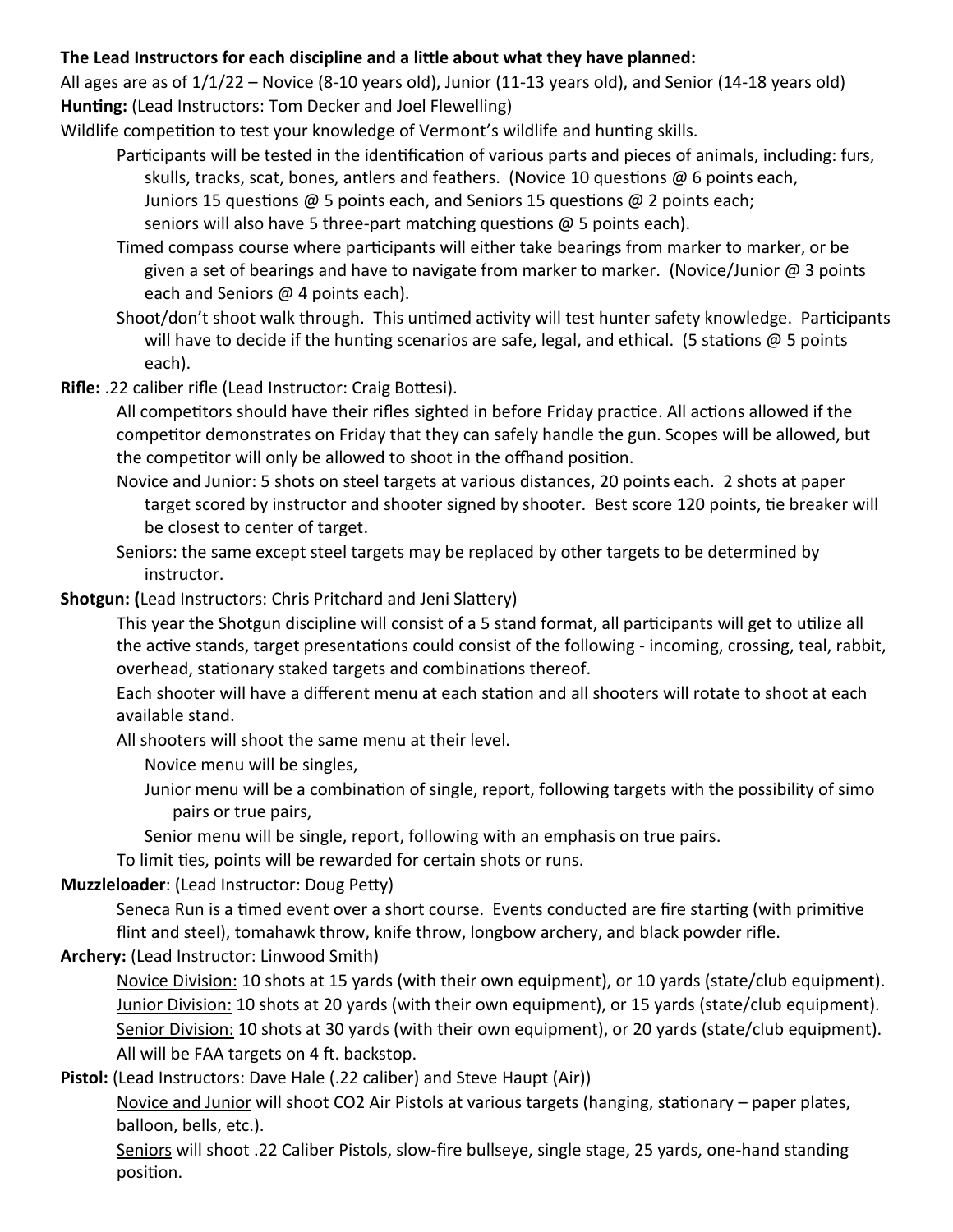### **The Lead Instructors for each discipline and a little about what they have planned:**

All ages are as of 1/1/22 – Novice (8-10 years old), Junior (11-13 years old), and Senior (14-18 years old) **Hunting:** (Lead Instructors: Tom Decker and Joel Flewelling)

Wildlife competition to test your knowledge of Vermont's wildlife and hunting skills.

- Participants will be tested in the identification of various parts and pieces of animals, including: furs, skulls, tracks, scat, bones, antlers and feathers. (Novice 10 questions @ 6 points each, Juniors 15 questions @ 5 points each, and Seniors 15 questions @ 2 points each; seniors will also have 5 three-part matching questions @ 5 points each).
- Timed compass course where participants will either take bearings from marker to marker, or be given a set of bearings and have to navigate from marker to marker. (Novice/Junior @ 3 points each and Seniors @ 4 points each).
- Shoot/don't shoot walk through. This untimed activity will test hunter safety knowledge. Participants will have to decide if the hunting scenarios are safe, legal, and ethical. (5 stations  $\omega$  5 points each).
- **Rifle:** .22 caliber rifle (Lead Instructor: Craig Bottesi).

All competitors should have their rifles sighted in before Friday practice. All actions allowed if the competitor demonstrates on Friday that they can safely handle the gun. Scopes will be allowed, but the competitor will only be allowed to shoot in the offhand position.

- Novice and Junior: 5 shots on steel targets at various distances, 20 points each. 2 shots at paper target scored by instructor and shooter signed by shooter. Best score 120 points, tie breaker will be closest to center of target.
- Seniors: the same except steel targets may be replaced by other targets to be determined by instructor.

## **Shotgun: (**Lead Instructors: Chris Pritchard and Jeni Slattery)

This year the Shotgun discipline will consist of a 5 stand format, all participants will get to utilize all the active stands, target presentations could consist of the following - incoming, crossing, teal, rabbit, overhead, stationary staked targets and combinations thereof.

Each shooter will have a different menu at each station and all shooters will rotate to shoot at each available stand.

All shooters will shoot the same menu at their level.

Novice menu will be singles,

- Junior menu will be a combination of single, report, following targets with the possibility of simo pairs or true pairs,
- Senior menu will be single, report, following with an emphasis on true pairs.

To limit ties, points will be rewarded for certain shots or runs.

## **Muzzleloader**: (Lead Instructor: Doug Petty)

Seneca Run is a timed event over a short course. Events conducted are fire starting (with primitive flint and steel), tomahawk throw, knife throw, longbow archery, and black powder rifle.

### **Archery:** (Lead Instructor: Linwood Smith)

Novice Division: 10 shots at 15 yards (with their own equipment), or 10 yards (state/club equipment). Junior Division: 10 shots at 20 yards (with their own equipment), or 15 yards (state/club equipment). Senior Division: 10 shots at 30 yards (with their own equipment), or 20 yards (state/club equipment). All will be FAA targets on 4 ft. backstop.

**Pistol:** (Lead Instructors: Dave Hale (.22 caliber) and Steve Haupt (Air))

Novice and Junior will shoot CO2 Air Pistols at various targets (hanging, stationary – paper plates, balloon, bells, etc.).

Seniors will shoot .22 Caliber Pistols, slow-fire bullseye, single stage, 25 yards, one-hand standing position.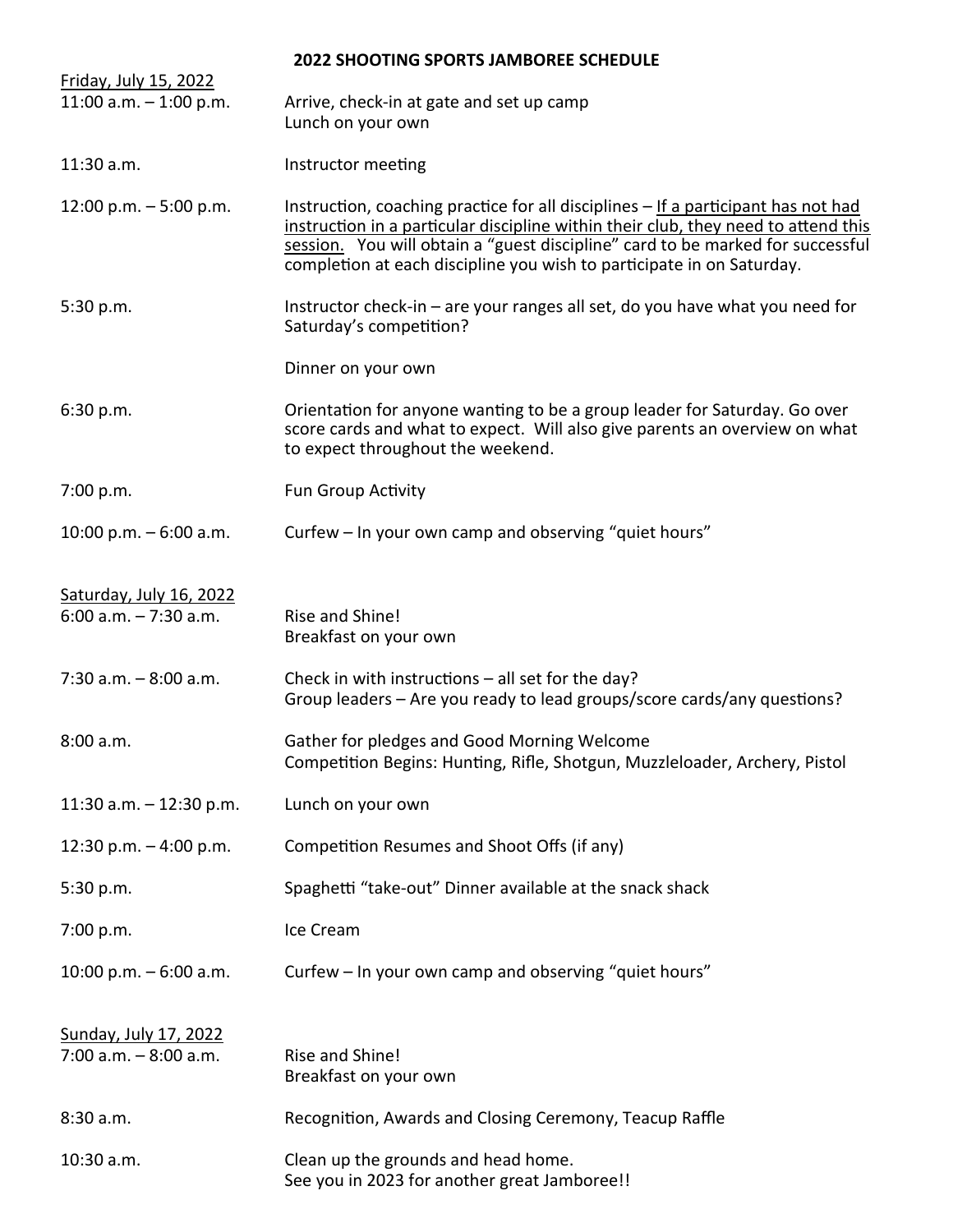| Friday, July 15, 2022                                    | <b>2022 SHOOTING SPORTS JAMBOREE SCHEDULE</b>                                                                                                                                                                                                                                                                                      |
|----------------------------------------------------------|------------------------------------------------------------------------------------------------------------------------------------------------------------------------------------------------------------------------------------------------------------------------------------------------------------------------------------|
| 11:00 a.m. $-$ 1:00 p.m.                                 | Arrive, check-in at gate and set up camp<br>Lunch on your own                                                                                                                                                                                                                                                                      |
| 11:30 a.m.                                               | Instructor meeting                                                                                                                                                                                                                                                                                                                 |
| 12:00 p.m. $-5:00$ p.m.                                  | Instruction, coaching practice for all disciplines - If a participant has not had<br>instruction in a particular discipline within their club, they need to attend this<br>session. You will obtain a "guest discipline" card to be marked for successful<br>completion at each discipline you wish to participate in on Saturday. |
| 5:30 p.m.                                                | Instructor check-in - are your ranges all set, do you have what you need for<br>Saturday's competition?                                                                                                                                                                                                                            |
|                                                          | Dinner on your own                                                                                                                                                                                                                                                                                                                 |
| 6:30 p.m.                                                | Orientation for anyone wanting to be a group leader for Saturday. Go over<br>score cards and what to expect. Will also give parents an overview on what<br>to expect throughout the weekend.                                                                                                                                       |
| 7:00 p.m.                                                | <b>Fun Group Activity</b>                                                                                                                                                                                                                                                                                                          |
| 10:00 p.m. $-6:00$ a.m.                                  | Curfew – In your own camp and observing "quiet hours"                                                                                                                                                                                                                                                                              |
| Saturday, July 16, 2022<br>$6:00$ a.m. $-7:30$ a.m.      | Rise and Shine!<br>Breakfast on your own                                                                                                                                                                                                                                                                                           |
| $7:30$ a.m. $-8:00$ a.m.                                 | Check in with instructions $-$ all set for the day?<br>Group leaders – Are you ready to lead groups/score cards/any questions?                                                                                                                                                                                                     |
| 8:00 a.m.                                                | Gather for pledges and Good Morning Welcome<br>Competition Begins: Hunting, Rifle, Shotgun, Muzzleloader, Archery, Pistol                                                                                                                                                                                                          |
| 11:30 a.m. $-$ 12:30 p.m.                                | Lunch on your own                                                                                                                                                                                                                                                                                                                  |
| 12:30 p.m. $-$ 4:00 p.m.                                 | Competition Resumes and Shoot Offs (if any)                                                                                                                                                                                                                                                                                        |
| 5:30 p.m.                                                | Spaghetti "take-out" Dinner available at the snack shack                                                                                                                                                                                                                                                                           |
| 7:00 p.m.                                                | Ice Cream                                                                                                                                                                                                                                                                                                                          |
| 10:00 p.m. $-6:00$ a.m.                                  | Curfew – In your own camp and observing "quiet hours"                                                                                                                                                                                                                                                                              |
| <b>Sunday, July 17, 2022</b><br>$7:00$ a.m. $-8:00$ a.m. | Rise and Shine!<br>Breakfast on your own                                                                                                                                                                                                                                                                                           |
| 8:30 a.m.                                                | Recognition, Awards and Closing Ceremony, Teacup Raffle                                                                                                                                                                                                                                                                            |
| 10:30 a.m.                                               | Clean up the grounds and head home.<br>See you in 2023 for another great Jamboree!!                                                                                                                                                                                                                                                |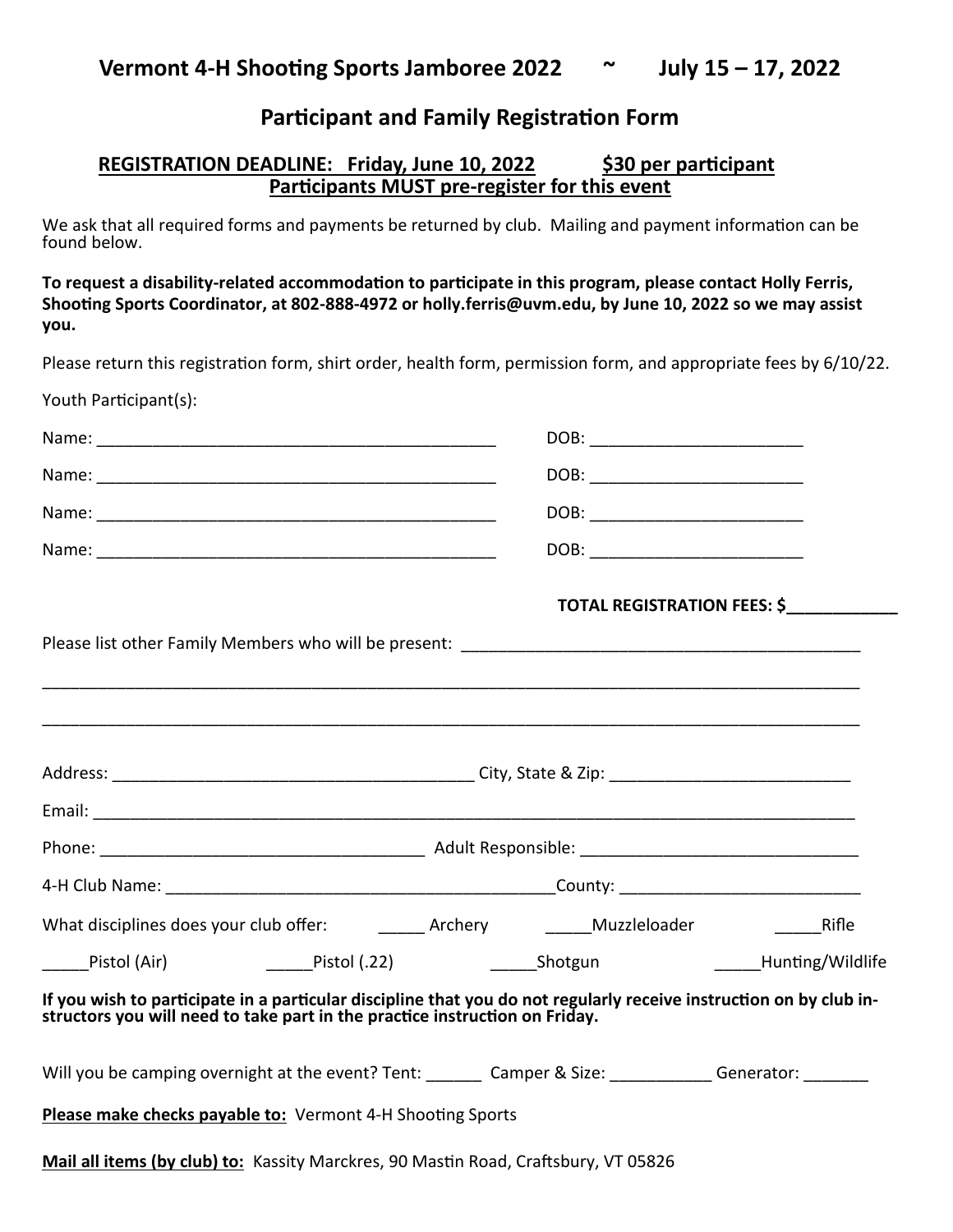## **Participant and Family Registration Form**

### **REGISTRATION DEADLINE: Friday, June 10, 2022 \$30 per participant Participants MUST pre-register for this event**

We ask that all required forms and payments be returned by club. Mailing and payment information can be found below.

**To request a disability-related accommodation to participate in this program, please contact Holly Ferris, Shooting Sports Coordinator, at 802-888-4972 or holly.ferris@uvm.edu, by June 10, 2022 so we may assist you.**

Please return this registration form, shirt order, health form, permission form, and appropriate fees by 6/10/22.

Youth Participant(s):

|                                                                                                                                                                                                   | DOB: _________________________     |  |  |
|---------------------------------------------------------------------------------------------------------------------------------------------------------------------------------------------------|------------------------------------|--|--|
|                                                                                                                                                                                                   | DOB: _____________________________ |  |  |
|                                                                                                                                                                                                   | DOB: _____________________________ |  |  |
|                                                                                                                                                                                                   | DOB: _____________________________ |  |  |
|                                                                                                                                                                                                   | TOTAL REGISTRATION FEES: \$        |  |  |
|                                                                                                                                                                                                   |                                    |  |  |
|                                                                                                                                                                                                   |                                    |  |  |
|                                                                                                                                                                                                   |                                    |  |  |
|                                                                                                                                                                                                   |                                    |  |  |
|                                                                                                                                                                                                   |                                    |  |  |
|                                                                                                                                                                                                   |                                    |  |  |
|                                                                                                                                                                                                   |                                    |  |  |
|                                                                                                                                                                                                   |                                    |  |  |
| ______Pistol (Air)        ______Pistol (.22)        ______Shotgun         ______Hunting/Wildlife                                                                                                  |                                    |  |  |
| If you wish to participate in a particular discipline that you do not regularly receive instruction on by club in-<br>structors you will need to take part in the practice instruction on Friday. |                                    |  |  |
| Will you be camping overnight at the event? Tent: ______ Camper & Size: ________ Generator: _______                                                                                               |                                    |  |  |
| Please make checks payable to: Vermont 4-H Shooting Sports                                                                                                                                        |                                    |  |  |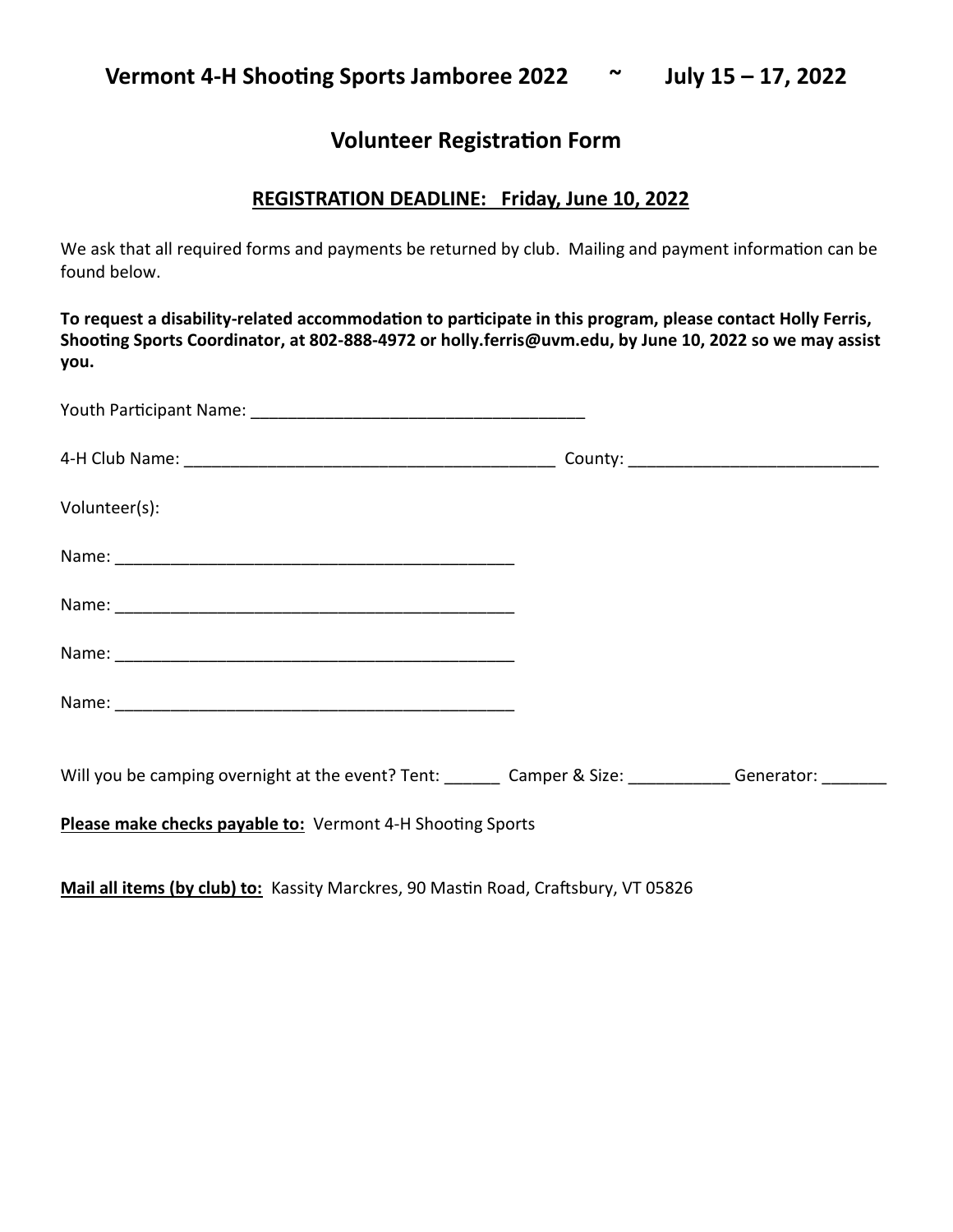## **Volunteer Registration Form**

## **REGISTRATION DEADLINE: Friday, June 10, 2022**

We ask that all required forms and payments be returned by club. Mailing and payment information can be found below.

**To request a disability-related accommodation to participate in this program, please contact Holly Ferris, Shooting Sports Coordinator, at 802-888-4972 or holly.ferris@uvm.edu, by June 10, 2022 so we may assist you.**

| Volunteer(s):                                                                              |  |
|--------------------------------------------------------------------------------------------|--|
|                                                                                            |  |
|                                                                                            |  |
|                                                                                            |  |
|                                                                                            |  |
| Will you be camping overnight at the event? Tent: Camper & Size: Camper & Size: Cenerator: |  |
| Please make checks payable to: Vermont 4-H Shooting Sports                                 |  |

**Mail all items (by club) to:** Kassity Marckres, 90 Mastin Road, Craftsbury, VT 05826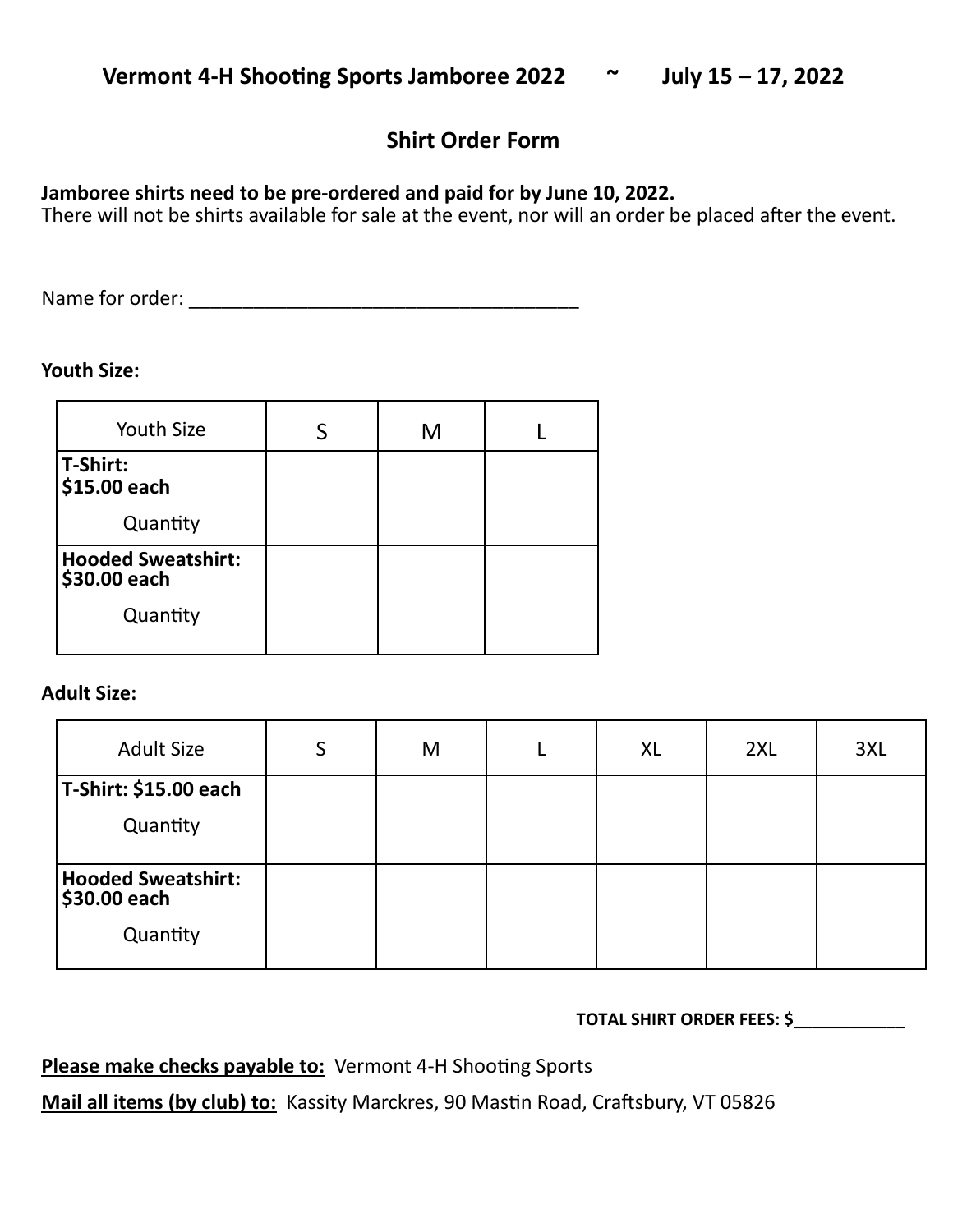## **Shirt Order Form**

## **Jamboree shirts need to be pre-ordered and paid for by June 10, 2022.**

There will not be shirts available for sale at the event, nor will an order be placed after the event.

Name for order: \_\_\_\_\_\_\_\_\_\_\_\_\_\_\_\_\_\_\_\_\_\_\_\_\_\_\_\_\_\_\_\_\_\_\_\_

## **Youth Size:**

| <b>Youth Size</b>                         | M |  |
|-------------------------------------------|---|--|
| T-Shirt:<br>\$15.00 each                  |   |  |
| Quantity                                  |   |  |
| <b>Hooded Sweatshirt:</b><br>\$30.00 each |   |  |
| Quantity                                  |   |  |

## **Adult Size:**

| <b>Adult Size</b>                         | S | M | XL | 2XL | 3XL |
|-------------------------------------------|---|---|----|-----|-----|
| T-Shirt: \$15.00 each                     |   |   |    |     |     |
| Quantity                                  |   |   |    |     |     |
| <b>Hooded Sweatshirt:</b><br>\$30.00 each |   |   |    |     |     |
| Quantity                                  |   |   |    |     |     |

## **TOTAL SHIRT ORDER FEES: \$\_\_\_\_\_\_\_\_\_\_\_\_**

## Please make checks payable to: Vermont 4-H Shooting Sports

**Mail all items (by club) to:** Kassity Marckres, 90 Mastin Road, Craftsbury, VT 05826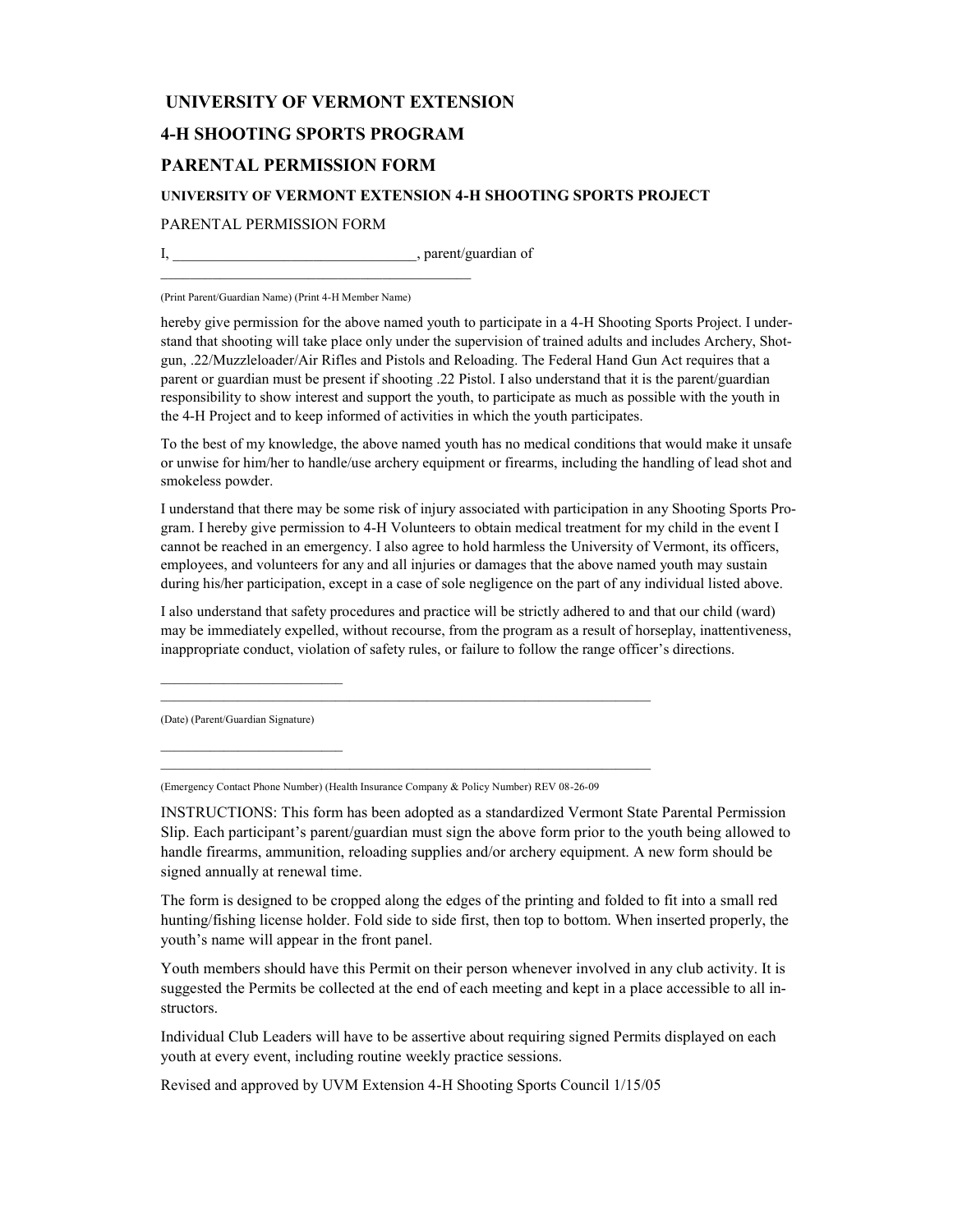#### **UNIVERSITY OF VERMONT EXTENSION**

#### **4-H SHOOTING SPORTS PROGRAM**

#### **PARENTAL PERMISSION FORM**

#### **UNIVERSITY OF VERMONT EXTENSION 4-H SHOOTING SPORTS PROJECT**

#### PARENTAL PERMISSION FORM

I, hardly parent/guardian of

\_\_\_\_\_\_\_\_\_\_\_\_\_\_\_\_\_\_\_\_\_\_\_\_\_\_\_\_\_\_\_\_\_\_\_\_\_\_\_\_\_\_

(Print Parent/Guardian Name) (Print 4-H Member Name)

hereby give permission for the above named youth to participate in a 4-H Shooting Sports Project. I understand that shooting will take place only under the supervision of trained adults and includes Archery, Shotgun, .22/Muzzleloader/Air Rifles and Pistols and Reloading. The Federal Hand Gun Act requires that a parent or guardian must be present if shooting .22 Pistol. I also understand that it is the parent/guardian responsibility to show interest and support the youth, to participate as much as possible with the youth in the 4-H Project and to keep informed of activities in which the youth participates.

To the best of my knowledge, the above named youth has no medical conditions that would make it unsafe or unwise for him/her to handle/use archery equipment or firearms, including the handling of lead shot and smokeless powder.

I understand that there may be some risk of injury associated with participation in any Shooting Sports Program. I hereby give permission to 4-H Volunteers to obtain medical treatment for my child in the event I cannot be reached in an emergency. I also agree to hold harmless the University of Vermont, its officers, employees, and volunteers for any and all injuries or damages that the above named youth may sustain during his/her participation, except in a case of sole negligence on the part of any individual listed above.

I also understand that safety procedures and practice will be strictly adhered to and that our child (ward) may be immediately expelled, without recourse, from the program as a result of horseplay, inattentiveness, inappropriate conduct, violation of safety rules, or failure to follow the range officer's directions.

(Date) (Parent/Guardian Signature)

(Emergency Contact Phone Number) (Health Insurance Company & Policy Number) REV 08-26-09

INSTRUCTIONS: This form has been adopted as a standardized Vermont State Parental Permission Slip. Each participant's parent/guardian must sign the above form prior to the youth being allowed to handle firearms, ammunition, reloading supplies and/or archery equipment. A new form should be signed annually at renewal time.

The form is designed to be cropped along the edges of the printing and folded to fit into a small red hunting/fishing license holder. Fold side to side first, then top to bottom. When inserted properly, the youth's name will appear in the front panel.

Youth members should have this Permit on their person whenever involved in any club activity. It is suggested the Permits be collected at the end of each meeting and kept in a place accessible to all instructors.

Individual Club Leaders will have to be assertive about requiring signed Permits displayed on each youth at every event, including routine weekly practice sessions.

Revised and approved by UVM Extension 4-H Shooting Sports Council 1/15/05